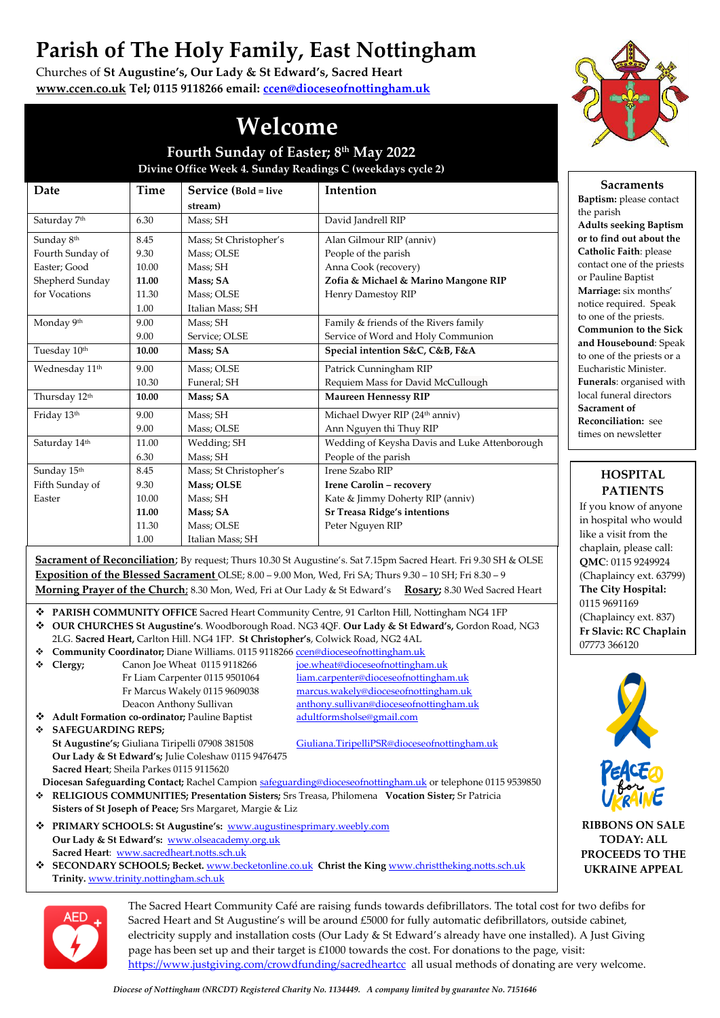## **Parish of The Holy Family, East Nottingham**

Churches of **St Augustine's, Our Lady & St Edward's, Sacred Heart [www.ccen.co.uk](http://www.ccen.co.uk/) Tel; 0115 9118266 email: [ccen@dioceseofnottingham.uk](mailto:ccen@dioceseofnottingham.uk)**



**Sacraments Baptism:** please contact

**Adults seeking Baptism or to find out about the Catholic Faith**: please contact one of the priests or Pauline Baptist **Marriage:** six months' notice required. Speak to one of the priests. **Communion to the Sick and Housebound**: Speak to one of the priests or a Eucharistic Minister. **Funerals**: organised with local funeral directors **Sacrament of Reconciliation:** see times on newsletter

the parish

## **Welcome**

**Fourth Sunday of Easter; 8 th May 2022 Divine Office Week 4. Sunday Readings C (weekdays cycle 2)**

| Date                       | Time  | Service (Bold = live   | Intention                                     |
|----------------------------|-------|------------------------|-----------------------------------------------|
|                            |       | stream)                |                                               |
| Saturday 7th               | 6.30  | Mass; SH               | David Jandrell RIP                            |
| Sunday 8th                 | 8.45  | Mass; St Christopher's | Alan Gilmour RIP (anniv)                      |
| Fourth Sunday of           | 9.30  | Mass; OLSE             | People of the parish                          |
| Easter: Good               | 10.00 | Mass: SH               | Anna Cook (recovery)                          |
| Shepherd Sunday            | 11.00 | Mass: SA               | Zofia & Michael & Marino Mangone RIP          |
| for Vocations              | 11.30 | Mass; OLSE             | Henry Damestoy RIP                            |
|                            | 1.00  | Italian Mass; SH       |                                               |
| Monday 9th                 | 9.00  | Mass: SH               | Family & friends of the Rivers family         |
|                            | 9.00  | Service; OLSE          | Service of Word and Holy Communion            |
| Tuesday 10th               | 10.00 | Mass; SA               | Special intention S&C, C&B, F&A               |
| Wednesday 11 <sup>th</sup> | 9.00  | Mass; OLSE             | Patrick Cunningham RIP                        |
|                            | 10.30 | Funeral; SH            | Requiem Mass for David McCullough             |
| Thursday 12th              | 10.00 | Mass; SA               | <b>Maureen Hennessy RIP</b>                   |
| Friday 13th                | 9.00  | Mass; SH               | Michael Dwyer RIP (24th anniv)                |
|                            | 9.00  | Mass; OLSE             | Ann Nguyen thi Thuy RIP                       |
| Saturday 14th              | 11.00 | Wedding; SH            | Wedding of Keysha Davis and Luke Attenborough |
|                            | 6.30  | Mass; SH               | People of the parish                          |
| Sunday 15th                | 8.45  | Mass; St Christopher's | Irene Szabo RIP                               |
| Fifth Sunday of            | 9.30  | <b>Mass</b> ; OLSE     | Irene Carolin - recovery                      |
| Easter                     | 10.00 | Mass; SH               | Kate & Jimmy Doherty RIP (anniv)              |
|                            | 11.00 | Mass: SA               | <b>Sr Treasa Ridge's intentions</b>           |
|                            | 11.30 | Mass; OLSE             | Peter Nguyen RIP                              |
|                            | 1.00  | Italian Mass; SH       |                                               |

**Sacrament of Reconciliation**; By request; Thurs 10.30 St Augustine's. Sat 7.15pm Sacred Heart. Fri 9.30 SH & OLSE **Exposition of the Blessed Sacrament** OLSE; 8.00 – 9.00 Mon, Wed, Fri SA; Thurs 9.30 – 10 SH; Fri 8.30 – 9 **Morning Prayer of the Church**; 8.30 Mon, Wed, Fri at Our Lady & St Edward's **Rosary;** 8.30 Wed Sacred Heart

- ❖ **PARISH COMMUNITY OFFICE** Sacred Heart Community Centre, 91 Carlton Hill, Nottingham NG4 1FP
- ❖ **OUR CHURCHES St Augustine's**. Woodborough Road. NG3 4QF. **Our Lady & St Edward's,** Gordon Road, NG3 2LG. **Sacred Heart,** Carlton Hill. NG4 1FP. **St Christopher's**, Colwick Road, NG2 4AL
- ❖ **Community Coordinator;** Diane Williams. 0115 911826[6 ccen@dioceseofnottingham.uk](mailto:ccen@dioceseofnottingham.uk) ❖ **Clergy;** Canon Joe Wheat 0115 9118266 [joe.wheat@dioceseofnottingham.uk](mailto:joe.wheat@dioceseofnottingham.uk)
	-

Fr Liam Carpenter 0115 9501064 liam.carpenter@dioceseofnottingham.uk Fr Marcus Wakely 0115 9609038 [marcus.wakely@dioceseofnottingham.uk](mailto:marcus.wakely@dioceseofnottingham.uk) Deacon Anthony Sullivan [anthony.sullivan@dioceseofnottingham.uk](mailto:anthony.sullivan@dioceseofnottingham.uk)

◆ **Adult Formation co-ordinator;** Pauline Baptist [adultformsholse@gmail.com](mailto:adultformsholse@gmail.com) ❖ **SAFEGUARDING REPS; St Augustine's;** Giuliana Tiripelli 07908 381508 [Giuliana.TiripelliPSR@dioceseofnottingham.uk](mailto:Giuliana.TiripelliPSR@dioceseofnottingham.uk)  **Our Lady & St Edward's;** Julie Coleshaw 0115 9476475 **Sacred Heart**; Sheila Parkes 0115 9115620

- **Diocesan Safeguarding Contact;** Rachel Campion [safeguarding@dioceseofnottingham.uk](mailto:safeguarding@dioceseofnottingham.uk) or telephone 0115 9539850 ❖ **RELIGIOUS COMMUNITIES; Presentation Sisters;** Srs Treasa, Philomena **Vocation Sister;** Sr Patricia
- **Sisters of St Joseph of Peace;** Srs Margaret, Margie & Liz ❖ **PRIMARY SCHOOLS: St Augustine's:** [www.augustinesprimary.weebly.com](http://www.augustinesprimary.weebly.com/)  **Our Lady & St Edward's:** [www.olseacademy.org.uk](http://www.olseacademy.org.uk/) **Sacred Heart**: [www.sacredheart.notts.sch.uk](http://www.sacredheart.notts.sch.uk/)
- ❖ **SECONDARY SCHOOLS; Becket.** [www.becketonline.co.uk](http://www.becketonline.co.uk/) **Christ the King** [www.christtheking.notts.sch.uk](http://www.christtheking.notts.sch.uk/)  **Trinity.** [www.trinity.nottingham.sch.uk](http://www.trinity.nottingham.sch.uk/)



The Sacred Heart Community Café are raising funds towards defibrillators. The total cost for two defibs for Sacred Heart and St Augustine's will be around £5000 for fully automatic defibrillators, outside cabinet, electricity supply and installation costs (Our Lady & St Edward's already have one installed). A Just Giving page has been set up and their target is £1000 towards the cost. For donations to the page, visit: <https://www.justgiving.com/crowdfunding/sacredheartcc> all usual methods of donating are very welcome.

## **QMC**: 0115 9249924 (Chaplaincy ext. 63799) **The City Hospital:**

0115 9691169 (Chaplaincy ext. 837) **Fr Slavic: RC Chaplain** 07773 366120

**HOSPITAL PATIENTS** If you know of anyone in hospital who would like a visit from the chaplain, please call:



**RIBBONS ON SALE TODAY: ALL PROCEEDS TO THE UKRAINE APPEAL**